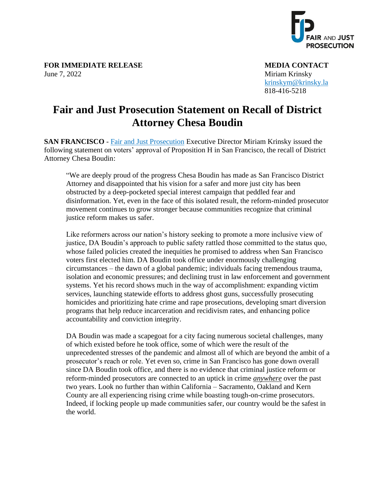

**FOR IMMEDIATE RELEASE MEDIA CONTACT** June 7, 2022 Miriam Krinsky

 [krinskym@krinsky.la](mailto:krinskym@krinsky.la) 818-416-5218

## **Fair and Just Prosecution Statement on Recall of District Attorney Chesa Boudin**

**SAN FRANCISCO** - [Fair and Just Prosecution](https://fairandjustprosecution.org/) Executive Director Miriam Krinsky issued the following statement on voters' approval of Proposition H in San Francisco, the recall of District Attorney Chesa Boudin:

"We are deeply proud of the progress Chesa Boudin has made as San Francisco District Attorney and disappointed that his vision for a safer and more just city has been obstructed by a deep-pocketed special interest campaign that peddled fear and disinformation. Yet, even in the face of this isolated result, the reform-minded prosecutor movement continues to grow stronger because communities recognize that criminal justice reform makes us safer.

Like reformers across our nation's history seeking to promote a more inclusive view of justice, DA Boudin's approach to public safety rattled those committed to the status quo, whose failed policies created the inequities he promised to address when San Francisco voters first elected him. DA Boudin took office under enormously challenging circumstances – the dawn of a global pandemic; individuals facing tremendous trauma, isolation and economic pressures; and declining trust in law enforcement and government systems. Yet his record shows much in the way of accomplishment: expanding victim services, launching statewide efforts to address ghost guns, successfully prosecuting homicides and prioritizing hate crime and rape prosecutions, developing smart diversion programs that help reduce incarceration and recidivism rates, and enhancing police accountability and conviction integrity.

DA Boudin was made a scapegoat for a city facing numerous societal challenges, many of which existed before he took office, some of which were the result of the unprecedented stresses of the pandemic and almost all of which are beyond the ambit of a prosecutor's reach or role. Yet even so, crime in San Francisco has gone down overall since DA Boudin took office, and there is no evidence that criminal justice reform or reform-minded prosecutors are connected to an uptick in crime *anywhere* over the past two years. Look no further than within California – Sacramento, Oakland and Kern County are all experiencing rising crime while boasting tough-on-crime prosecutors. Indeed, if locking people up made communities safer, our country would be the safest in the world.